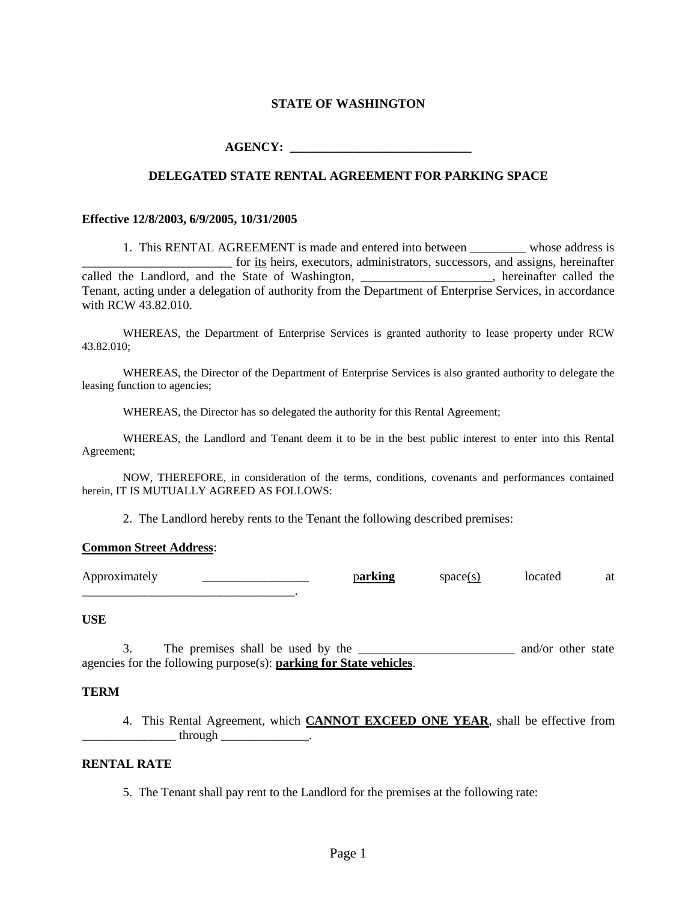## **STATE OF WASHINGTON**

 $\bf{AGENCY:}$ 

## **DELEGATED STATE RENTAL AGREEMENT FOR PARKING SPACE**

#### **Effective 12/8/2003, 6/9/2005, 10/31/2005**

1. This RENTAL AGREEMENT is made and entered into between \_\_\_\_\_\_\_\_\_ whose address is \_\_\_\_\_\_\_\_\_\_\_\_\_\_\_\_\_\_\_\_\_\_\_\_ for its heirs, executors, administrators, successors, and assigns, hereinafter called the Landlord, and the State of Washington, \_\_\_\_\_\_\_\_\_\_\_\_\_\_\_\_\_, hereinafter called the Tenant, acting under a delegation of authority from the Department of Enterprise Services, in accordance with RCW 43.82.010.

WHEREAS, the Department of Enterprise Services is granted authority to lease property under RCW 43.82.010;

WHEREAS, the Director of the Department of Enterprise Services is also granted authority to delegate the leasing function to agencies;

WHEREAS, the Director has so delegated the authority for this Rental Agreement;

WHEREAS, the Landlord and Tenant deem it to be in the best public interest to enter into this Rental Agreement;

NOW, THEREFORE, in consideration of the terms, conditions, covenants and performances contained herein, IT IS MUTUALLY AGREED AS FOLLOWS:

2. The Landlord hereby rents to the Tenant the following described premises:

#### **Common Street Address**:

\_\_\_\_\_\_\_\_\_\_\_\_\_\_\_\_\_\_\_\_\_\_\_\_\_\_\_\_\_\_\_\_\_\_.

Approximately <u>\_\_\_\_\_\_\_\_\_\_\_\_\_\_</u> parking space(s) located at

### **USE**

3. The premises shall be used by the \_\_\_\_\_\_\_\_\_\_\_\_\_\_\_\_\_\_\_\_\_\_\_\_\_ and/or other state agencies for the following purpose(s): **parking for State vehicles**.

#### **TERM**

4. This Rental Agreement, which **CANNOT EXCEED ONE YEAR**, shall be effective from  $through$   $\qquad \qquad$ 

## **RENTAL RATE**

5. The Tenant shall pay rent to the Landlord for the premises at the following rate: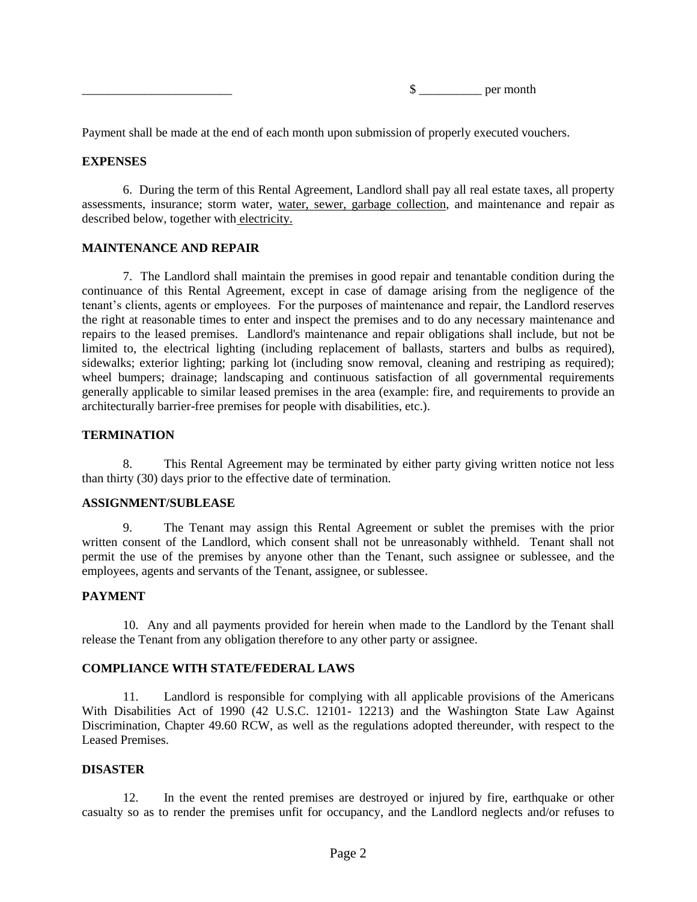\_\_\_\_\_\_\_\_\_\_\_\_\_\_\_\_\_\_\_\_\_\_\_\_ \$ \_\_\_\_\_\_\_\_\_\_ per month

Payment shall be made at the end of each month upon submission of properly executed vouchers.

## **EXPENSES**

6. During the term of this Rental Agreement, Landlord shall pay all real estate taxes, all property assessments, insurance; storm water, water, sewer, garbage collection, and maintenance and repair as described below, together with electricity.

## **MAINTENANCE AND REPAIR**

7. The Landlord shall maintain the premises in good repair and tenantable condition during the continuance of this Rental Agreement, except in case of damage arising from the negligence of the tenant's clients, agents or employees. For the purposes of maintenance and repair, the Landlord reserves the right at reasonable times to enter and inspect the premises and to do any necessary maintenance and repairs to the leased premises. Landlord's maintenance and repair obligations shall include, but not be limited to, the electrical lighting (including replacement of ballasts, starters and bulbs as required), sidewalks; exterior lighting; parking lot (including snow removal, cleaning and restriping as required); wheel bumpers; drainage; landscaping and continuous satisfaction of all governmental requirements generally applicable to similar leased premises in the area (example: fire, and requirements to provide an architecturally barrier-free premises for people with disabilities, etc.).

## **TERMINATION**

8. This Rental Agreement may be terminated by either party giving written notice not less than thirty (30) days prior to the effective date of termination.

### **ASSIGNMENT/SUBLEASE**

9. The Tenant may assign this Rental Agreement or sublet the premises with the prior written consent of the Landlord, which consent shall not be unreasonably withheld. Tenant shall not permit the use of the premises by anyone other than the Tenant, such assignee or sublessee, and the employees, agents and servants of the Tenant, assignee, or sublessee.

## **PAYMENT**

10. Any and all payments provided for herein when made to the Landlord by the Tenant shall release the Tenant from any obligation therefore to any other party or assignee.

## **COMPLIANCE WITH STATE/FEDERAL LAWS**

11. Landlord is responsible for complying with all applicable provisions of the Americans With Disabilities Act of 1990 (42 U.S.C. 12101- 12213) and the Washington State Law Against Discrimination, Chapter 49.60 RCW, as well as the regulations adopted thereunder, with respect to the Leased Premises.

### **DISASTER**

12. In the event the rented premises are destroyed or injured by fire, earthquake or other casualty so as to render the premises unfit for occupancy, and the Landlord neglects and/or refuses to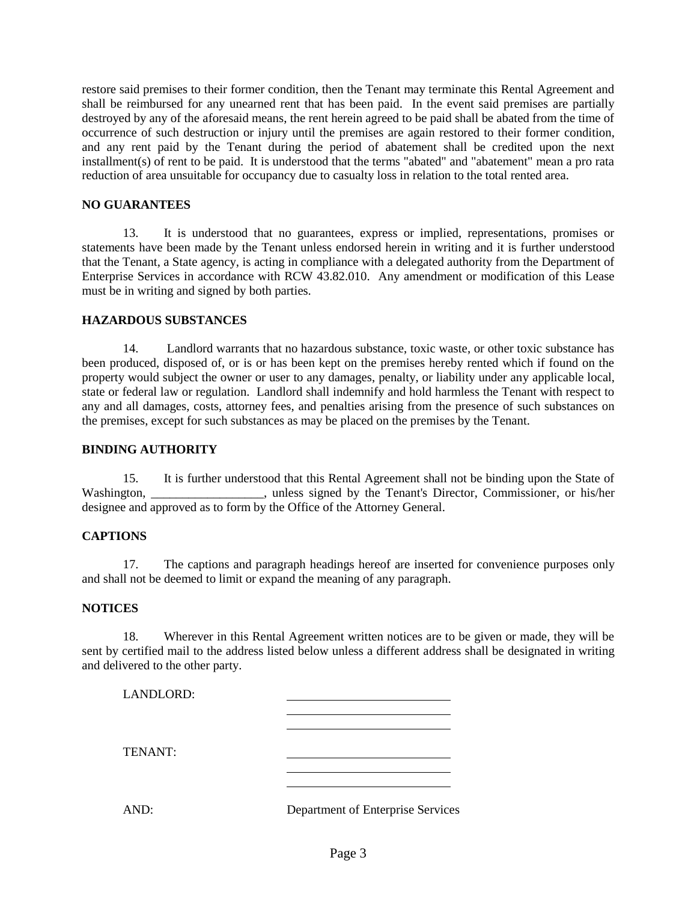restore said premises to their former condition, then the Tenant may terminate this Rental Agreement and shall be reimbursed for any unearned rent that has been paid. In the event said premises are partially destroyed by any of the aforesaid means, the rent herein agreed to be paid shall be abated from the time of occurrence of such destruction or injury until the premises are again restored to their former condition, and any rent paid by the Tenant during the period of abatement shall be credited upon the next installment(s) of rent to be paid. It is understood that the terms "abated" and "abatement" mean a pro rata reduction of area unsuitable for occupancy due to casualty loss in relation to the total rented area.

# **NO GUARANTEES**

13. It is understood that no guarantees, express or implied, representations, promises or statements have been made by the Tenant unless endorsed herein in writing and it is further understood that the Tenant, a State agency, is acting in compliance with a delegated authority from the Department of Enterprise Services in accordance with RCW 43.82.010. Any amendment or modification of this Lease must be in writing and signed by both parties.

# **HAZARDOUS SUBSTANCES**

14. Landlord warrants that no hazardous substance, toxic waste, or other toxic substance has been produced, disposed of, or is or has been kept on the premises hereby rented which if found on the property would subject the owner or user to any damages, penalty, or liability under any applicable local, state or federal law or regulation. Landlord shall indemnify and hold harmless the Tenant with respect to any and all damages, costs, attorney fees, and penalties arising from the presence of such substances on the premises, except for such substances as may be placed on the premises by the Tenant.

### **BINDING AUTHORITY**

15. It is further understood that this Rental Agreement shall not be binding upon the State of Washington, \_\_\_\_\_\_\_\_\_\_\_\_\_\_\_, unless signed by the Tenant's Director, Commissioner, or his/her designee and approved as to form by the Office of the Attorney General.

## **CAPTIONS**

17. The captions and paragraph headings hereof are inserted for convenience purposes only and shall not be deemed to limit or expand the meaning of any paragraph.

## **NOTICES**

18. Wherever in this Rental Agreement written notices are to be given or made, they will be sent by certified mail to the address listed below unless a different address shall be designated in writing and delivered to the other party.

| LANDLORD: |                                   |
|-----------|-----------------------------------|
|           |                                   |
|           |                                   |
| TENANT:   |                                   |
|           |                                   |
| AND:      | Department of Enterprise Services |